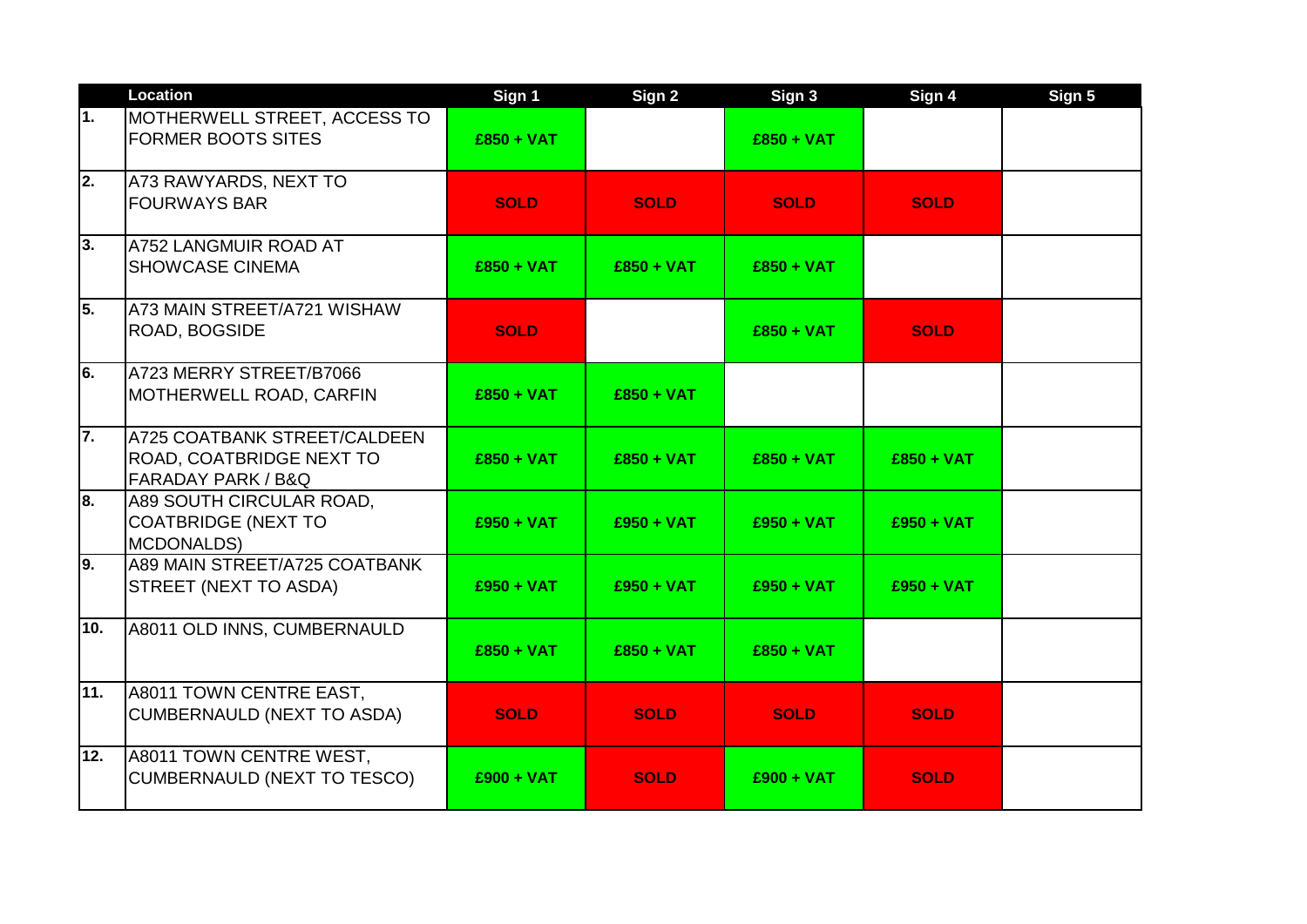|                  | <b>Location</b>                                                                | Sign 1       | Sign 2       | Sign 3       | Sign 4       | Sign 5 |
|------------------|--------------------------------------------------------------------------------|--------------|--------------|--------------|--------------|--------|
| 1.               | <b>MOTHERWELL STREET, ACCESS TO</b><br><b>FORMER BOOTS SITES</b>               | $£850 + VAT$ |              | $£850 + VAT$ |              |        |
| $\overline{2}$ . | A73 RAWYARDS, NEXT TO<br><b>FOURWAYS BAR</b>                                   | <b>SOLD</b>  | <b>SOLD</b>  | <b>SOLD</b>  | <b>SOLD</b>  |        |
| 3.               | A752 LANGMUIR ROAD AT<br><b>SHOWCASE CINEMA</b>                                | $£850 + VAT$ | $£850 + VAT$ | $£850 + VAT$ |              |        |
| 5.               | A73 MAIN STREET/A721 WISHAW<br>ROAD, BOGSIDE                                   | <b>SOLD</b>  |              | $£850 + VAT$ | <b>SOLD</b>  |        |
| l6.              | A723 MERRY STREET/B7066<br>MOTHERWELL ROAD, CARFIN                             | $£850 + VAT$ | $£850 + VAT$ |              |              |        |
| 7.               | A725 COATBANK STREET/CALDEEN<br>ROAD, COATBRIDGE NEXT TO<br>FARADAY PARK / B&Q | $£850 + VAT$ | $£850 + VAT$ | $£850 + VAT$ | $£850 + VAT$ |        |
| 8.               | A89 SOUTH CIRCULAR ROAD,<br><b>COATBRIDGE (NEXT TO</b><br><b>MCDONALDS)</b>    | $£950 + VAT$ | $£950 + VAT$ | $£950 + VAT$ | $£950 + VAT$ |        |
| l9.              | A89 MAIN STREET/A725 COATBANK<br>STREET (NEXT TO ASDA)                         | $£950 + VAT$ | $£950 + VAT$ | $£950 + VAT$ | $£950 + VAT$ |        |
| 10.              | A8011 OLD INNS, CUMBERNAULD                                                    | $£850 + VAT$ | $£850 + VAT$ | $£850 + VAT$ |              |        |
| 11.              | A8011 TOWN CENTRE EAST,<br><b>CUMBERNAULD (NEXT TO ASDA)</b>                   | <b>SOLD</b>  | <b>SOLD</b>  | <b>SOLD</b>  | <b>SOLD</b>  |        |
| 12.              | A8011 TOWN CENTRE WEST,<br>CUMBERNAULD (NEXT TO TESCO)                         | $£900 + VAT$ | <b>SOLD</b>  | $£900 + VAT$ | <b>SOLD</b>  |        |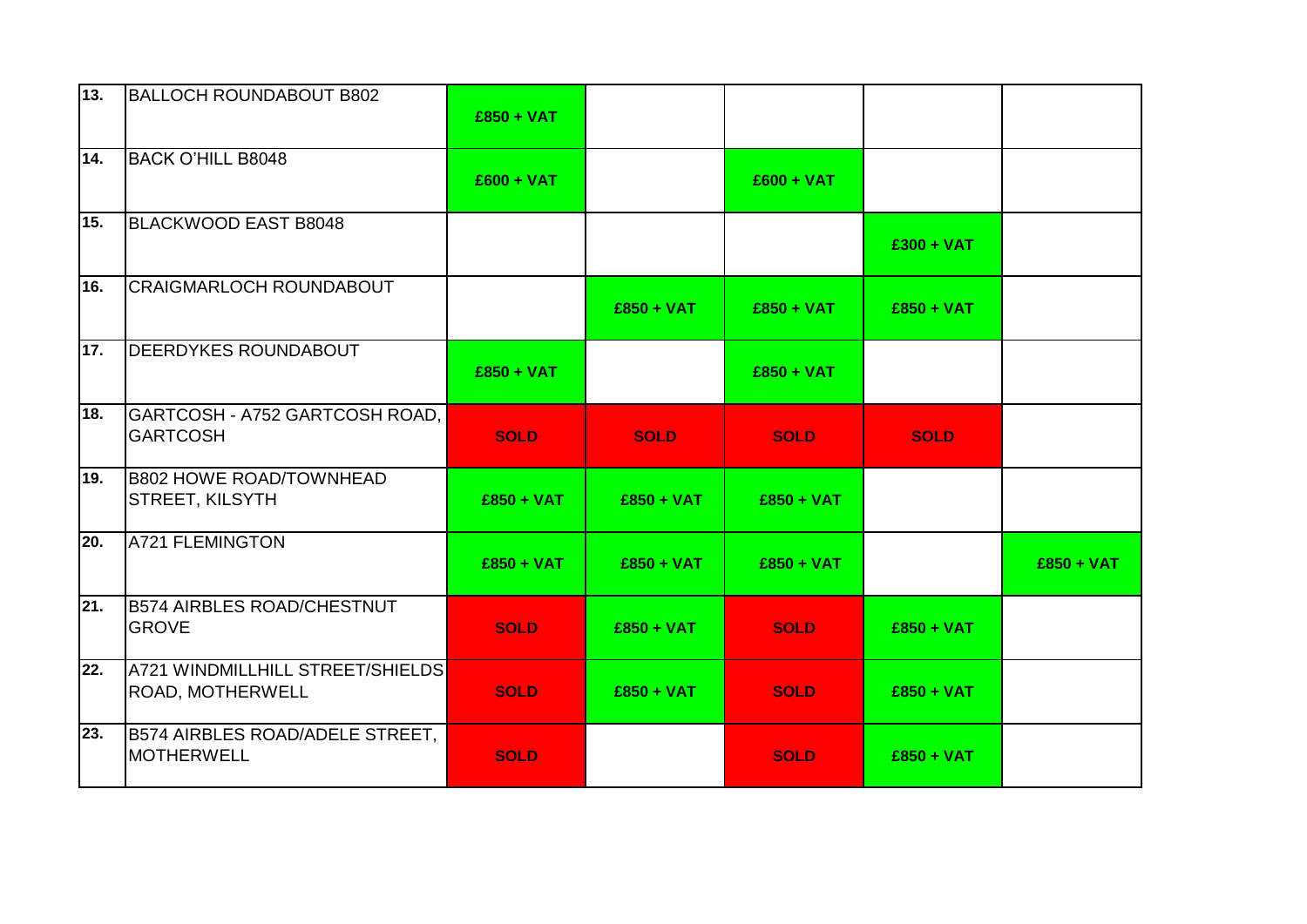| 13. | <b>BALLOCH ROUNDABOUT B802</b>                       | $£850 + VAT$ |              |              |              |              |
|-----|------------------------------------------------------|--------------|--------------|--------------|--------------|--------------|
| 14. | <b>BACK O'HILL B8048</b>                             | $£600 + VAT$ |              | $£600 + VAT$ |              |              |
| 15. | <b>BLACKWOOD EAST B8048</b>                          |              |              |              | $£300 + VAT$ |              |
| 16. | <b>CRAIGMARLOCH ROUNDABOUT</b>                       |              | $£850 + VAT$ | $£850 + VAT$ | $£850 + VAT$ |              |
| 17. | <b>DEERDYKES ROUNDABOUT</b>                          | $£850 + VAT$ |              | $£850 + VAT$ |              |              |
| 18. | GARTCOSH - A752 GARTCOSH ROAD,<br><b>GARTCOSH</b>    | <b>SOLD</b>  | <b>SOLD</b>  | <b>SOLD</b>  | <b>SOLD</b>  |              |
| 19. | <b>B802 HOWE ROAD/TOWNHEAD</b><br>STREET, KILSYTH    | $£850 + VAT$ | $£850 + VAT$ | $£850 + VAT$ |              |              |
| 20. | <b>A721 FLEMINGTON</b>                               | $£850 + VAT$ | $£850 + VAT$ | $£850 + VAT$ |              | $£850 + VAT$ |
| 21. | <b>B574 AIRBLES ROAD/CHESTNUT</b><br><b>GROVE</b>    | <b>SOLD</b>  | $£850 + VAT$ | <b>SOLD</b>  | $£850 + VAT$ |              |
| 22. | A721 WINDMILLHILL STREET/SHIELDS<br>ROAD, MOTHERWELL | <b>SOLD</b>  | $£850 + VAT$ | <b>SOLD</b>  | $£850 + VAT$ |              |
| 23. | B574 AIRBLES ROAD/ADELE STREET,<br><b>MOTHERWELL</b> | <b>SOLD</b>  |              | <b>SOLD</b>  | $£850 + VAT$ |              |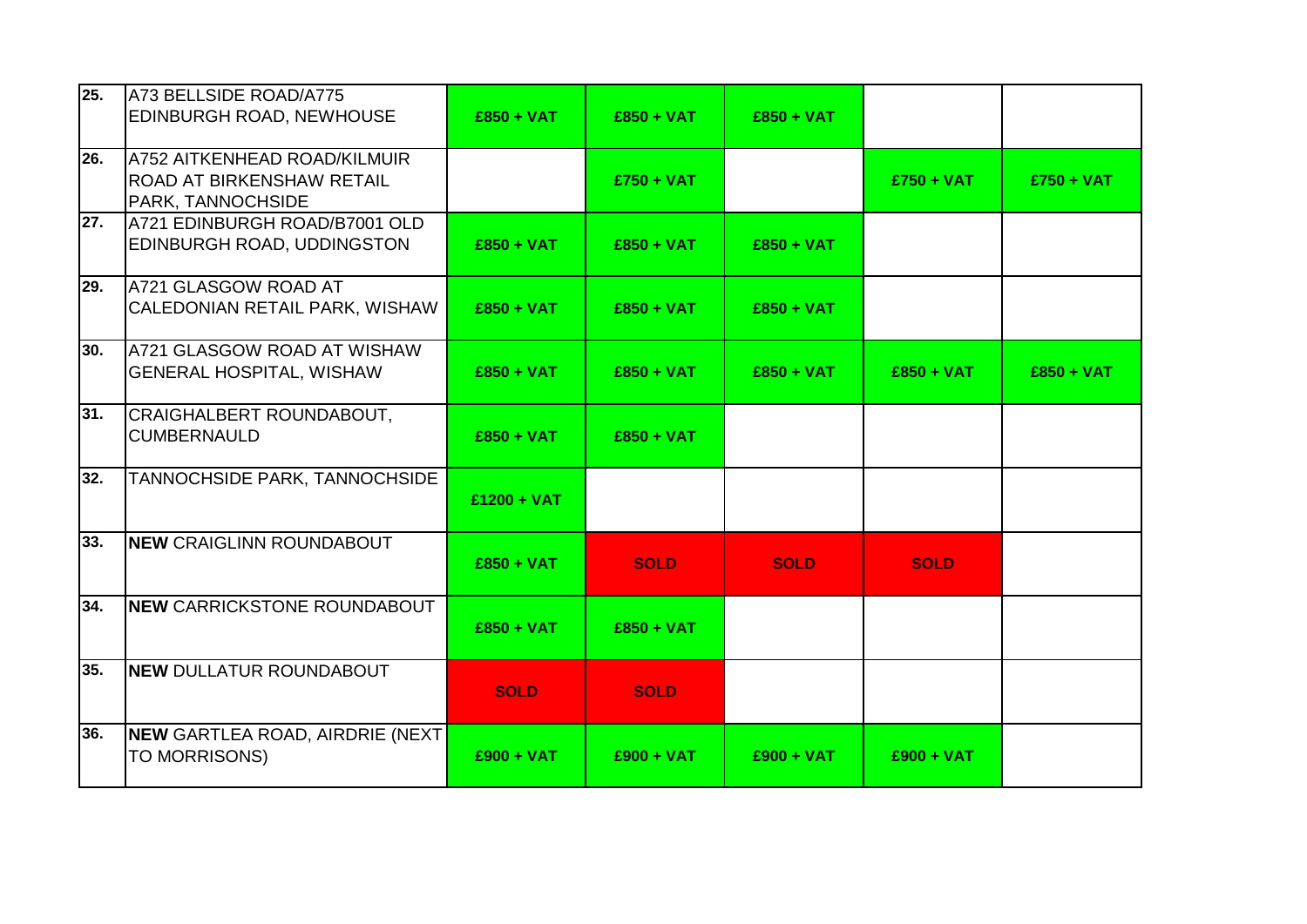| 25. | A73 BELLSIDE ROAD/A775<br>EDINBURGH ROAD, NEWHOUSE                             | $£850 + VAT$  | $£850 + VAT$ | $£850 + VAT$ |              |              |
|-----|--------------------------------------------------------------------------------|---------------|--------------|--------------|--------------|--------------|
| 26. | A752 AITKENHEAD ROAD/KILMUIR<br>ROAD AT BIRKENSHAW RETAIL<br>PARK, TANNOCHSIDE |               | $£750 + VAT$ |              | $£750 + VAT$ | $£750 + VAT$ |
| 27. | A721 EDINBURGH ROAD/B7001 OLD<br>EDINBURGH ROAD, UDDINGSTON                    | $£850 + VAT$  | $£850 + VAT$ | $£850 + VAT$ |              |              |
| 29. | A721 GLASGOW ROAD AT<br>CALEDONIAN RETAIL PARK, WISHAW                         | $£850 + VAT$  | $£850 + VAT$ | $£850 + VAT$ |              |              |
| 30. | A721 GLASGOW ROAD AT WISHAW<br><b>GENERAL HOSPITAL, WISHAW</b>                 | $£850 + VAT$  | $£850 + VAT$ | $£850 + VAT$ | $£850 + VAT$ | $£850 + VAT$ |
| 31. | CRAIGHALBERT ROUNDABOUT,<br><b>CUMBERNAULD</b>                                 | $£850 + VAT$  | $£850 + VAT$ |              |              |              |
| 32. | <b>TANNOCHSIDE PARK, TANNOCHSIDE</b>                                           | $£1200 + VAT$ |              |              |              |              |
| 33. | <b>NEW CRAIGLINN ROUNDABOUT</b>                                                | $£850 + VAT$  | <b>SOLD</b>  | <b>SOLD</b>  | <b>SOLD</b>  |              |
| 34. | <b>NEW CARRICKSTONE ROUNDABOUT</b>                                             | $£850 + VAT$  | $£850 + VAT$ |              |              |              |
| 35. | <b>NEW DULLATUR ROUNDABOUT</b>                                                 | <b>SOLD</b>   | <b>SOLD</b>  |              |              |              |
| 36. | <b>NEW GARTLEA ROAD, AIRDRIE (NEXT</b><br>TO MORRISONS)                        | $£900 + VAT$  | $£900 + VAT$ | $£900 + VAT$ | $£900 + VAT$ |              |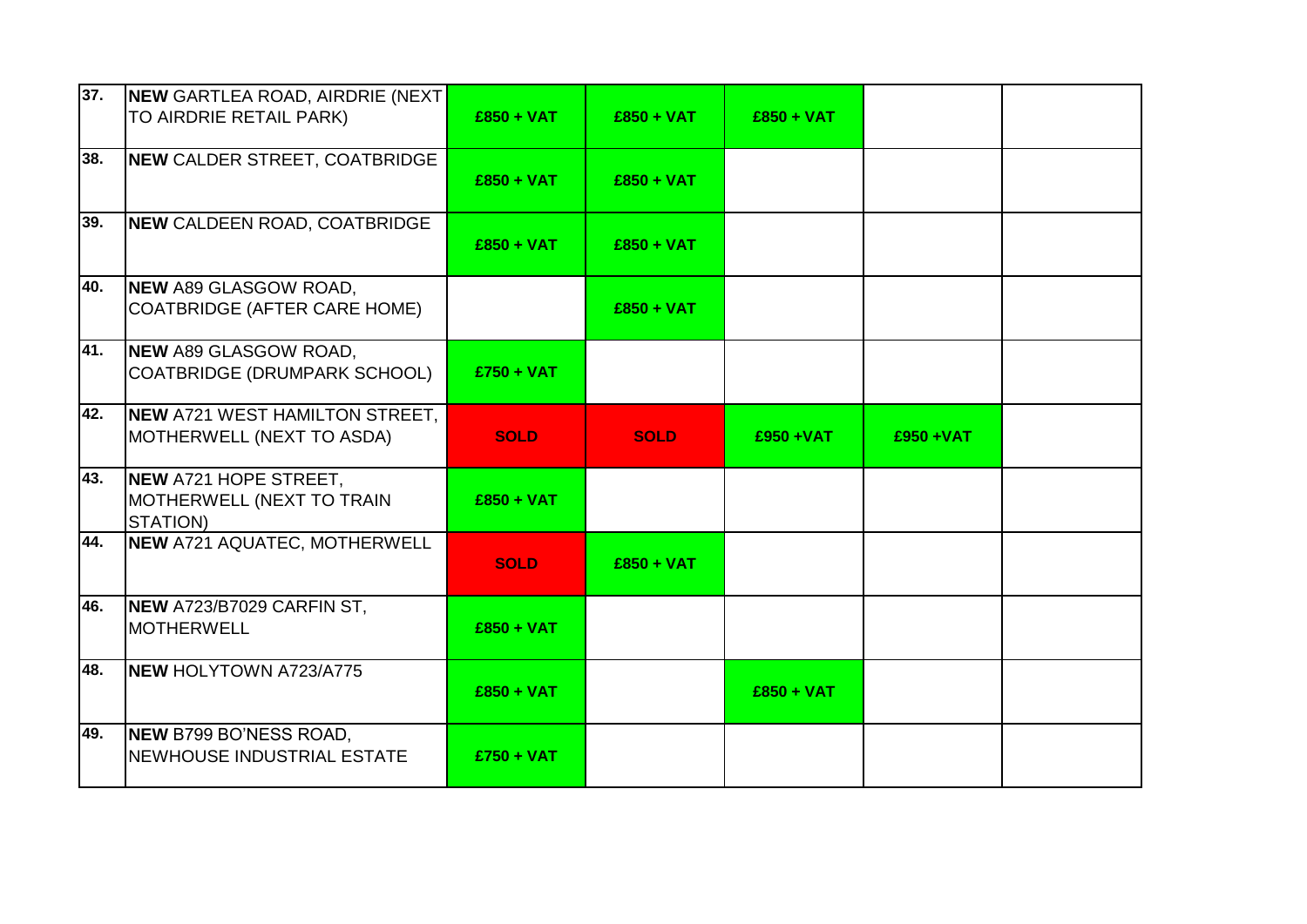| 37. | <b>NEW GARTLEA ROAD, AIRDRIE (NEXT)</b>                        |              |              |              |              |  |
|-----|----------------------------------------------------------------|--------------|--------------|--------------|--------------|--|
|     | TO AIRDRIE RETAIL PARK)                                        | $£850 + VAT$ | $£850 + VAT$ | $£850 + VAT$ |              |  |
| 38. | NEW CALDER STREET, COATBRIDGE                                  | $£850 + VAT$ | $£850 + VAT$ |              |              |  |
| 39. | <b>NEW CALDEEN ROAD, COATBRIDGE</b>                            | $£850 + VAT$ | $£850 + VAT$ |              |              |  |
| 40. | NEW A89 GLASGOW ROAD,<br><b>COATBRIDGE (AFTER CARE HOME)</b>   |              | $£850 + VAT$ |              |              |  |
| 41. | NEW A89 GLASGOW ROAD,<br>COATBRIDGE (DRUMPARK SCHOOL)          | $£750 + VAT$ |              |              |              |  |
| 42. | NEW A721 WEST HAMILTON STREET,<br>MOTHERWELL (NEXT TO ASDA)    | <b>SOLD</b>  | <b>SOLD</b>  | £950+VAT     | $£950 + VAT$ |  |
| 43. | NEW A721 HOPE STREET,<br>MOTHERWELL (NEXT TO TRAIN<br>STATION) | $£850 + VAT$ |              |              |              |  |
| 44. | NEW A721 AQUATEC, MOTHERWELL                                   | <b>SOLD</b>  | $£850 + VAT$ |              |              |  |
| 46. | NEW A723/B7029 CARFIN ST,<br><b>MOTHERWELL</b>                 | $£850 + VAT$ |              |              |              |  |
| 48. | <b>NEW HOLYTOWN A723/A775</b>                                  | $£850 + VAT$ |              | $£850 + VAT$ |              |  |
| 49. | NEW B799 BO'NESS ROAD,<br>NEWHOUSE INDUSTRIAL ESTATE           | $£750 + VAT$ |              |              |              |  |